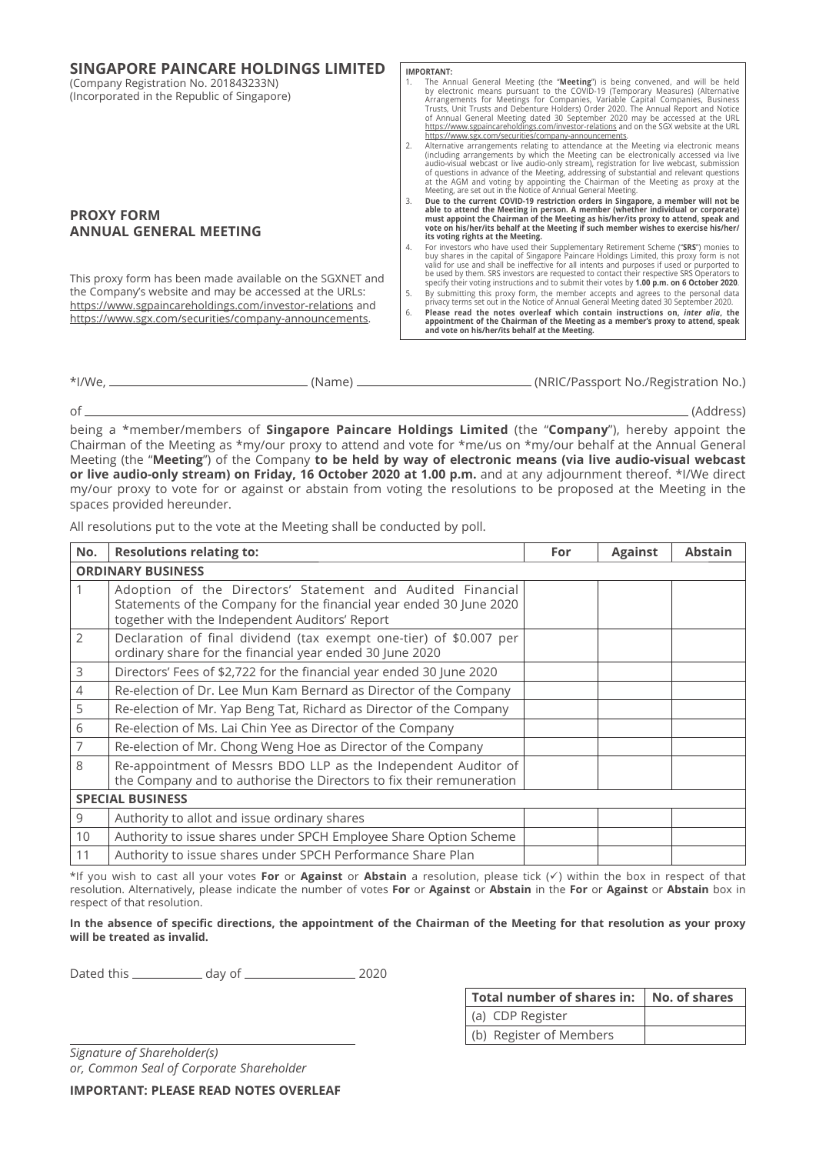| <b>IMPORTANT:</b>                                                                                                                                                                                                                                                                                                                                                                                                                                                                                                                                                                  |
|------------------------------------------------------------------------------------------------------------------------------------------------------------------------------------------------------------------------------------------------------------------------------------------------------------------------------------------------------------------------------------------------------------------------------------------------------------------------------------------------------------------------------------------------------------------------------------|
|                                                                                                                                                                                                                                                                                                                                                                                                                                                                                                                                                                                    |
| The Annual General Meeting (the "Meeting") is being convened, and will be held<br>1.<br>by electronic means pursuant to the COVID-19 (Temporary Measures) (Alternative<br>Arrangements for Meetings for Companies, Variable Capital Companies, Business<br>Trusts, Unit Trusts and Debenture Holders) Order 2020. The Annual Report and Notice<br>of Annual General Meeting dated 30 September 2020 may be accessed at the URL<br>https://www.sgpaincareholdings.com/investor-relations and on the SGX website at the URL<br>https://www.sgx.com/securities/company-announcements. |
| Alternative arrangements relating to attendance at the Meeting via electronic means<br>(including arrangements by which the Meeting can be electronically accessed via live<br>audio-visual webcast or live audio-only stream), registration for live webcast, submission<br>of questions in advance of the Meeting, addressing of substantial and relevant questions<br>at the AGM and voting by appointing the Chairman of the Meeting as proxy at the<br>Meeting, are set out in the Notice of Annual General Meeting.                                                          |
| Due to the current COVID-19 restriction orders in Singapore, a member will not be                                                                                                                                                                                                                                                                                                                                                                                                                                                                                                  |
| able to attend the Meeting in person. A member (whether individual or corporate)<br>must appoint the Chairman of the Meeting as his/her/its proxy to attend, speak and<br>vote on his/her/its behalf at the Meeting if such member wishes to exercise his/her/<br>its voting rights at the Meeting.                                                                                                                                                                                                                                                                                |
| For investors who have used their Supplementary Retirement Scheme ("SRS") monies to<br>4.<br>buy shares in the capital of Singapore Paincare Holdings Limited, this proxy form is not<br>valid for use and shall be ineffective for all intents and purposes if used or purported to<br>be used by them. SRS investors are requested to contact their respective SRS Operators to<br>specify their voting instructions and to submit their votes by 1.00 p.m. on 6 October 2020.                                                                                                   |
| By submitting this proxy form, the member accepts and agrees to the personal data<br>privacy terms set out in the Notice of Annual General Meeting dated 30 September 2020.                                                                                                                                                                                                                                                                                                                                                                                                        |
| Please read the notes overleaf which contain instructions on, inter alia, the<br>appointment of the Chairman of the Meeting as a member's proxy to attend, speak<br>and vote on his/her/its behalf at the Meeting.                                                                                                                                                                                                                                                                                                                                                                 |
| 6.                                                                                                                                                                                                                                                                                                                                                                                                                                                                                                                                                                                 |

\*I/We, (Name) (NRIC/Passport No./Registration No.)

of (Address)

being a \*member/members of **Singapore Paincare Holdings Limited** (the "**Company**"), hereby appoint the Chairman of the Meeting as \*my/our proxy to attend and vote for \*me/us on \*my/our behalf at the Annual General Meeting (the "**Meeting**") of the Company **to be held by way of electronic means (via live audio-visual webcast or live audio-only stream) on Friday, 16 October 2020 at 1.00 p.m.** and at any adjournment thereof. \*I/We direct my/our proxy to vote for or against or abstain from voting the resolutions to be proposed at the Meeting in the spaces provided hereunder.

All resolutions put to the vote at the Meeting shall be conducted by poll.

| No.                      | <b>Resolutions relating to:</b>                                                                                                                                                     | For | <b>Against</b> | <b>Abstain</b> |  |
|--------------------------|-------------------------------------------------------------------------------------------------------------------------------------------------------------------------------------|-----|----------------|----------------|--|
| <b>ORDINARY BUSINESS</b> |                                                                                                                                                                                     |     |                |                |  |
|                          | Adoption of the Directors' Statement and Audited Financial<br>Statements of the Company for the financial year ended 30 June 2020<br>together with the Independent Auditors' Report |     |                |                |  |
| $\overline{2}$           | Declaration of final dividend (tax exempt one-tier) of \$0.007 per<br>ordinary share for the financial year ended 30 June 2020                                                      |     |                |                |  |
| 3                        | Directors' Fees of \$2,722 for the financial year ended 30 June 2020                                                                                                                |     |                |                |  |
| 4                        | Re-election of Dr. Lee Mun Kam Bernard as Director of the Company                                                                                                                   |     |                |                |  |
| 5                        | Re-election of Mr. Yap Beng Tat, Richard as Director of the Company                                                                                                                 |     |                |                |  |
| 6                        | Re-election of Ms. Lai Chin Yee as Director of the Company                                                                                                                          |     |                |                |  |
| 7                        | Re-election of Mr. Chong Weng Hoe as Director of the Company                                                                                                                        |     |                |                |  |
| 8                        | Re-appointment of Messrs BDO LLP as the Independent Auditor of<br>the Company and to authorise the Directors to fix their remuneration                                              |     |                |                |  |
| <b>SPECIAL BUSINESS</b>  |                                                                                                                                                                                     |     |                |                |  |
| 9                        | Authority to allot and issue ordinary shares                                                                                                                                        |     |                |                |  |
| 10                       | Authority to issue shares under SPCH Employee Share Option Scheme                                                                                                                   |     |                |                |  |
| 11                       | Authority to issue shares under SPCH Performance Share Plan                                                                                                                         |     |                |                |  |

\*If you wish to cast all your votes **For** or Against or Abstain a resolution, please tick (v) within the box in respect of that resolution. Alternatively, please indicate the number of votes **For** or **Against** or **Abstain** in the **For** or **Against** or **Abstain** box in respect of that resolution.

# In the absence of specific directions, the appointment of the Chairman of the Meeting for that resolution as your proxy **will be treated as invalid.**

Dated this day of 2020

| Total number of shares in:   No. of shares |  |
|--------------------------------------------|--|
| (a) CDP Register                           |  |
| (b) Register of Members                    |  |

*Signature of Shareholder(s) or, Common Seal of Corporate Shareholder*